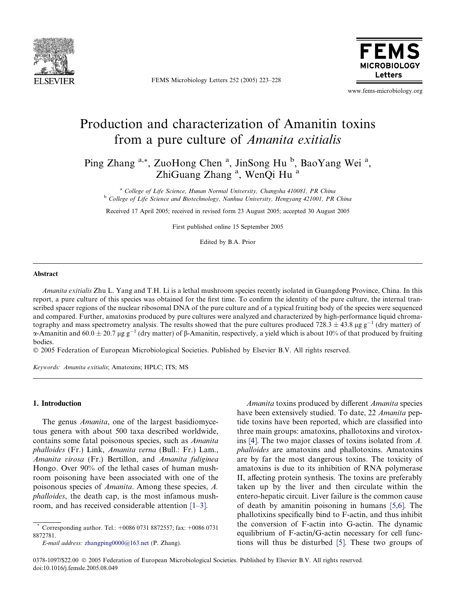

FEMS Microbiology Letters 252 (2005) 223–228



www.fems-microbiology.org

# Production and characterization of Amanitin toxins from a pure culture of Amanita exitialis

Ping Zhang <sup>a,\*</sup>, ZuoHong Chen <sup>a</sup>, JinSong Hu <sup>b</sup>, BaoYang Wei <sup>a</sup>, ZhiGuang Zhang<sup>a</sup>, WenQi Hu<sup>a</sup>

<sup>a</sup> College of Life Science, Hunan Normal University, Changsha 410081, PR China <sup>b</sup> College of Life Science and Biotechnology, Nanhua University, Hengyang 421001, PR China

Received 17 April 2005; received in revised form 23 August 2005; accepted 30 August 2005

First published online 15 September 2005

Edited by B.A. Prior

#### Abstract

Amanita exitialis Zhu L. Yang and T.H. Li is a lethal mushroom species recently isolated in Guangdong Province, China. In this report, a pure culture of this species was obtained for the first time. To confirm the identity of the pure culture, the internal transcribed spacer regions of the nuclear ribosomal DNA of the pure culture and of a typical fruiting body of the species were sequenced and compared. Further, amatoxins produced by pure cultures were analyzed and characterized by high-performance liquid chromatography and mass spectrometry analysis. The results showed that the pure cultures produced 728.3  $\pm$  43.8 µg g<sup>-1</sup> (dry matter) of  $\alpha$ -Amanitin and 60.0  $\pm$  20.7 µg g<sup>-1</sup> (dry matter) of  $\beta$ -Amanitin, respectively, a yield which is about 10% of that produced by fruiting bodies.

2005 Federation of European Microbiological Societies. Published by Elsevier B.V. All rights reserved.

Keywords: Amanita exitialis; Amatoxins; HPLC; ITS; MS

## 1. Introduction

The genus *Amanita*, one of the largest basidiomycetous genera with about 500 taxa described worldwide, contains some fatal poisonous species, such as Amanita phalloides (Fr.) Link, Amanita verna (Bull.: Fr.) Lam., Amanita virosa (Fr.) Bertillon, and Amanita fuliginea Hongo. Over 90% of the lethal cases of human mushroom poisoning have been associated with one of the poisonous species of Amanita. Among these species, A. phalloides, the death cap, is the most infamous mushroom, and has received considerable attention [\[1–3\]](#page-5-0).

E-mail address: [zhangping0000@163.net](mailto:zhangping0000@163.net) (P. Zhang).

Amanita toxins produced by different Amanita species have been extensively studied. To date, 22 *Amanita* peptide toxins have been reported, which are classified into three main groups: amatoxins, phallotoxins and virotoxins [\[4\].](#page-5-0) The two major classes of toxins isolated from A. phalloides are amatoxins and phallotoxins. Amatoxins are by far the most dangerous toxins. The toxicity of amatoxins is due to its inhibition of RNA polymerase II, affecting protein synthesis. The toxins are preferably taken up by the liver and then circulate within the entero-hepatic circuit. Liver failure is the common cause of death by amanitin poisoning in humans [\[5,6\].](#page-5-0) The phallotixins specifically bind to F-actin, and thus inhibit the conversion of F-actin into G-actin. The dynamic equilibrium of F-actin/G-actin necessary for cell functions will thus be disturbed [\[5\]](#page-5-0). These two groups of

0378-1097/\$22.00 2005 Federation of European Microbiological Societies. Published by Elsevier B.V. All rights reserved. doi:10.1016/j.femsle.2005.08.049

<sup>\*</sup> Corresponding author. Tel.: +0086 0731 8872557; fax: +0086 0731 8872781.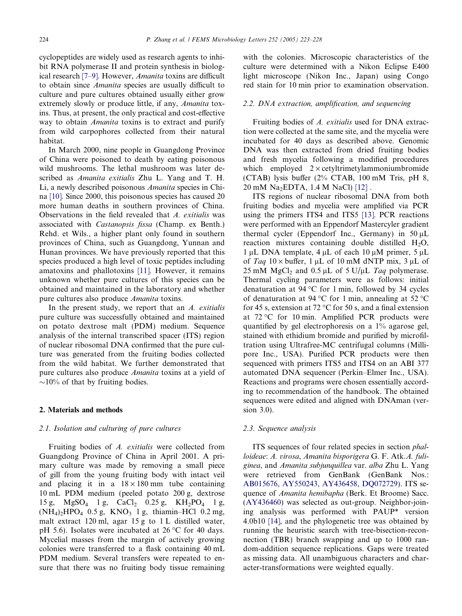cyclopeptides are widely used as research agents to inhibit RNA polymerase II and protein synthesis in biological research [\[7–9\].](#page-5-0) However, Amanita toxins are difficult to obtain since Amanita species are usually difficult to culture and pure cultures obtained usually either grow extremely slowly or produce little, if any, Amanita toxins. Thus, at present, the only practical and cost-effective way to obtain Amanita toxins is to extract and purify from wild carpophores collected from their natural habitat.

In March 2000, nine people in Guangdong Province of China were poisoned to death by eating poisonous wild mushrooms. The lethal mushroom was later described as Amanita exitialis Zhu L. Yang and T. H. Li, a newly described poisonous Amanita species in China [\[10\]](#page-5-0). Since 2000, this poisonous species has caused 20 more human deaths in southern provinces of China. Observations in the field revealed that A. exitialis was associated with Castanopsis fissa (Champ. ex Benth.) Rehd. et Wils., a higher plant only found in southern provinces of China, such as Guangdong, Yunnan and Hunan provinces. We have previously reported that this species produced a high level of toxic peptides including amatoxins and phallotoxins [\[11\].](#page-5-0) However, it remains unknown whether pure cultures of this species can be obtained and maintained in the laboratory and whether pure cultures also produce Amanita toxins.

In the present study, we report that an A. exitialis pure culture was successfully obtained and maintained on potato dextrose malt (PDM) medium. Sequence analysis of the internal transcribed spacer (ITS) region of nuclear ribosomal DNA confirmed that the pure culture was generated from the fruiting bodies collected from the wild habitat. We further demonstrated that pure cultures also produce Amanita toxins at a yield of  $\sim$ 10% of that by fruiting bodies.

# 2. Materials and methods

## 2.1. Isolation and culturing of pure cultures

Fruiting bodies of A. exitialis were collected from Guangdong Province of China in April 2001. A primary culture was made by removing a small piece of gill from the young fruiting body with intact veil and placing it in a  $18 \times 180$  mm tube containing 10 mL PDM medium (peeled potato 200 g, dextrose 15 g,  $MgSO_4$  1 g,  $CaCl_2$  0.25 g,  $KH_2PO_4$  1 g,  $(NH_4)_2HPO_4$  0.5 g,  $KNO_3$  1 g, thiamin–HCl 0.2 mg, malt extract 120 ml, agar 15 g to 1 L distilled water, pH 5.6). Isolates were incubated at  $26^{\circ}$ C for 40 days. Mycelial masses from the margin of actively growing colonies were transferred to a flask containing 40 mL PDM medium. Several transfers were repeated to ensure that there was no fruiting body tissue remaining with the colonies. Microscopic characteristics of the culture were determined with a Nikon Eclipse E400 light microscope (Nikon Inc., Japan) using Congo red stain for 10 min prior to examination observation.

# 2.2. DNA extraction, amplification, and sequencing

Fruiting bodies of A. exitialis used for DNA extraction were collected at the same site, and the mycelia were incubated for 40 days as described above. Genomic DNA was then extracted from dried fruiting bodies and fresh mycelia following a modified procedures which employed  $2 \times$  cetyltrimetylammoniumbromide (CTAB) lysis buffer  $(2\%$  CTAB, 100 mM Tris, pH 8, 20 mM Na2EDTA, 1.4 M NaCl) [\[12\]](#page-5-0) .

ITS regions of nuclear ribosomal DNA from both fruiting bodies and mycelia were amplified via PCR using the primers ITS4 and ITS5 [\[13\].](#page-5-0) PCR reactions were performed with an Eppendorf Mastercyler gradient thermal cycler (Eppendorf Inc., Germany) in  $50 \mu L$ reaction mixtures containing double distilled  $H_2O$ , 1 µL DNA template,  $4 \mu L$  of each 10  $\mu$ M primer, 5  $\mu$ L of Taq  $10 \times$  buffer,  $1 \mu L$  of 10 mM dNTP mix,  $3 \mu L$  of 25 mM MgCl<sub>2</sub> and 0.5  $\mu$ L of 5 U/ $\mu$ L Taq polymerase. Thermal cycling parameters were as follows: initial denaturation at 94 °C for 1 min, followed by 34 cycles of denaturation at 94 °C for 1 min, annealing at 52 °C for 45 s, extension at 72  $\mathrm{^{\circ}C}$  for 50 s, and a final extension at  $72 \degree C$  for 10 min. Amplified PCR products were quantified by gel electrophoresis on a 1% agarose gel, stained with ethidium bromide and purified by microfiltration using Ultrafree-MC centrifugal columns (Millipore Inc., USA). Purified PCR products were then sequenced with primers ITS5 and ITS4 on an ABI 377 automated DNA sequencer (Perkin–Elmer Inc., USA). Reactions and programs were chosen essentially according to recommendation of the handbook. The obtained sequences were edited and aligned with DNAman (version 3.0).

## 2.3. Sequence analysis

ITS sequences of four related species in section phalloideae: A. virosa, Amanita bisporigera G. F. Atk.A. fuliginea, and Amanita subjunquillea var. alba Zhu L. Yang were retrieved from GenBank (GenBank Nos.: AB015676, AY550243, AY436458, DQ072729). ITS sequence of Amanita hemibapha (Berk. Et Broome) Sacc. (AY436460) was selected as out-group. Neighbor-joining analysis was performed with PAUP\* version 4.0b10 [\[14\],](#page-5-0) and the phylogenetic tree was obtained by running the heuristic search with tree-bisection-reconnection (TBR) branch swapping and up to 1000 random-addition sequence replications. Gaps were treated as missing data. All unambiguous characters and character-transformations were weighted equally.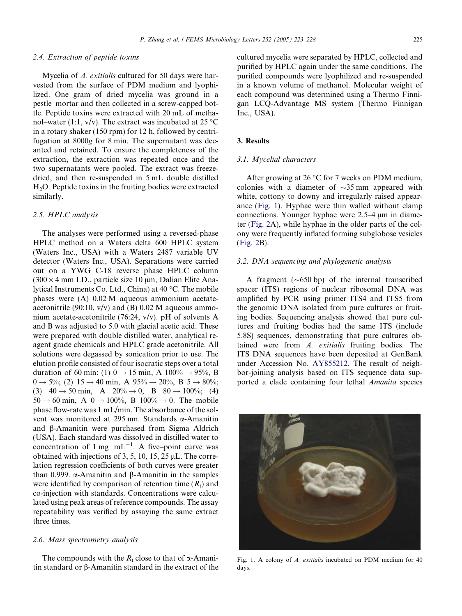# 2.4. Extraction of peptide toxins

Mycelia of A. exitialis cultured for 50 days were harvested from the surface of PDM medium and lyophilized. One gram of dried mycelia was ground in a pestle–mortar and then collected in a screw-capped bottle. Peptide toxins were extracted with 20 mL of methanol–water (1:1, v/v). The extract was incubated at 25  $^{\circ}$ C in a rotary shaker (150 rpm) for 12 h, followed by centrifugation at 8000g for 8 min. The supernatant was decanted and retained. To ensure the completeness of the extraction, the extraction was repeated once and the two supernatants were pooled. The extract was freezedried, and then re-suspended in 5 mL double distilled H2O. Peptide toxins in the fruiting bodies were extracted similarly.

## 2.5. HPLC analysis

The analyses were performed using a reversed-phase HPLC method on a Waters delta 600 HPLC system (Waters Inc., USA) with a Waters 2487 variable UV detector (Waters Inc., USA). Separations were carried out on a YWG C-18 reverse phase HPLC column  $(300 \times 4 \text{ mm } I.D.,$  particle size 10 µm, Dalian Elite Analytical Instruments Co. Ltd., China) at 40 °C. The mobile phases were (A) 0.02 M aqueous ammonium acetateacetonitrile (90:10,  $v/v$ ) and (B) 0.02 M aqueous ammonium acetate-acetonitrile (76:24, v/v). pH of solvents A and B was adjusted to 5.0 with glacial acetic acid. These were prepared with double distilled water, analytical reagent grade chemicals and HPLC grade acetonitrile. All solutions were degassed by sonication prior to use. The elution profile consisted of four isocratic steps over a total duration of 60 min: (1)  $0 \rightarrow 15$  min, A  $100\% \rightarrow 95\%$ , B  $0 \rightarrow 5\%$ ; (2)  $15 \rightarrow 40$  min, A  $95\% \rightarrow 20\%$ , B  $5 \rightarrow 80\%$ ; (3)  $40 \rightarrow 50$  min, A  $20\% \rightarrow 0$ , B  $80 \rightarrow 100\%$ ; (4)  $50 \rightarrow 60$  min, A  $0 \rightarrow 100\%$ , B  $100\% \rightarrow 0$ . The mobile phase flow-rate was 1 mL/min. The absorbance of the solvent was monitored at 295 nm. Standards a-Amanitin and b-Amanitin were purchased from Sigma–Aldrich (USA). Each standard was dissolved in distilled water to concentration of 1 mg  $mL^{-1}$ . A five–point curve was obtained with injections of 3, 5, 10, 15, 25  $\mu$ L. The correlation regression coefficients of both curves were greater than 0.999.  $\alpha$ -Amanitin and  $\beta$ -Amanitin in the samples were identified by comparison of retention time  $(R_t)$  and co-injection with standards. Concentrations were calculated using peak areas of reference compounds. The assay repeatability was verified by assaying the same extract three times.

## 2.6. Mass spectrometry analysis

The compounds with the  $R_t$  close to that of  $\alpha$ -Amanitin standard or  $\beta$ -Amanitin standard in the extract of the cultured mycelia were separated by HPLC, collected and purified by HPLC again under the same conditions. The purified compounds were lyophilized and re-suspended in a known volume of methanol. Molecular weight of each compound was determined using a Thermo Finnigan LCQ-Advantage MS system (Thermo Finnigan Inc., USA).

### 3. Results

## 3.1. Mycelial characters

After growing at 26  $\mathrm{^{\circ}C}$  for 7 weeks on PDM medium, colonies with a diameter of  $\sim$ 35 mm appeared with white, cottony to downy and irregularly raised appearance (Fig. 1). Hyphae were thin walled without clamp connections. Younger hyphae were  $2.5-4 \mu m$  in diameter [\(Fig. 2](#page-3-0)A), while hyphae in the older parts of the colony were frequently inflated forming subglobose vesicles ([Fig. 2](#page-3-0)B).

# 3.2. DNA sequencing and phylogenetic analysis

A fragment  $(\sim 650 \text{ bp})$  of the internal transcribed spacer (ITS) regions of nuclear ribosomal DNA was amplified by PCR using primer ITS4 and ITS5 from the genomic DNA isolated from pure cultures or fruiting bodies. Sequencing analysis showed that pure cultures and fruiting bodies had the same ITS (include 5.8S) sequences, demonstrating that pure cultures obtained were from A. exitialis fruiting bodies. The ITS DNA sequences have been deposited at GenBank under Accession No. AY855212. The result of neighbor-joining analysis based on ITS sequence data supported a clade containing four lethal Amanita species



Fig. 1. A colony of A. exitialis incubated on PDM medium for 40 days.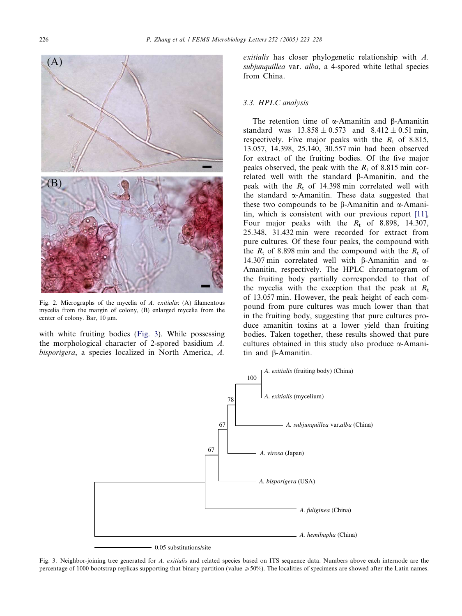<span id="page-3-0"></span>

Fig. 2. Micrographs of the mycelia of A. exitialis: (A) filamentous mycelia from the margin of colony, (B) enlarged mycelia from the center of colony. Bar, 10 µm.

with white fruiting bodies (Fig. 3). While possessing the morphological character of 2-spored basidium A. bisporigera, a species localized in North America, A.

exitialis has closer phylogenetic relationship with A. subjunquillea var. alba, a 4-spored white lethal species from China.

## 3.3. HPLC analysis

The retention time of  $\alpha$ -Amanitin and  $\beta$ -Amanitin standard was  $13.858 \pm 0.573$  and  $8.412 \pm 0.51$  min, respectively. Five major peaks with the  $R_t$  of 8.815, 13.057, 14.398, 25.140, 30.557 min had been observed for extract of the fruiting bodies. Of the five major peaks observed, the peak with the  $R_t$  of 8.815 min correlated well with the standard  $\beta$ -Amanitin, and the peak with the  $R_t$  of 14.398 min correlated well with the standard  $\alpha$ -Amanitin. These data suggested that these two compounds to be  $\beta$ -Amanitin and  $\alpha$ -Amanitin, which is consistent with our previous report [\[11\]](#page-5-0), Four major peaks with the  $R_t$  of 8.898, 14.307, 25.348, 31.432 min were recorded for extract from pure cultures. Of these four peaks, the compound with the  $R_t$  of 8.898 min and the compound with the  $R_t$  of 14.307 min correlated well with  $\beta$ -Amanitin and  $\alpha$ -Amanitin, respectively. The HPLC chromatogram of the fruiting body partially corresponded to that of the mycelia with the exception that the peak at  $R_t$ of 13.057 min. However, the peak height of each compound from pure cultures was much lower than that in the fruiting body, suggesting that pure cultures produce amanitin toxins at a lower yield than fruiting bodies. Taken together, these results showed that pure cultures obtained in this study also produce  $\alpha$ -Amanitin and b-Amanitin.



Fig. 3. Neighbor-joining tree generated for A. exitialis and related species based on ITS sequence data. Numbers above each internode are the percentage of 1000 bootstrap replicas supporting that binary partition (value *P*50%). The localities of specimens are showed after the Latin names.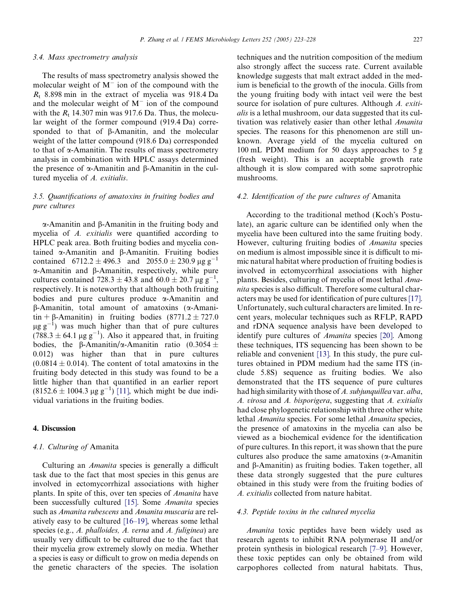#### 3.4. Mass spectrometry analysis

The results of mass spectrometry analysis showed the molecular weight of  $M<sup>-</sup>$  ion of the compound with the  $R_t$  8.898 min in the extract of mycelia was 918.4 Da and the molecular weight of  $M<sup>-</sup>$  ion of the compound with the  $R_t$  14.307 min was 917.6 Da. Thus, the molecular weight of the former compound (919.4 Da) corresponded to that of  $\beta$ -Amanitin, and the molecular weight of the latter compound (918.6 Da) corresponded to that of  $\alpha$ -Amanitin. The results of mass spectrometry analysis in combination with HPLC assays determined the presence of  $\alpha$ -Amanitin and B-Amanitin in the cultured mycelia of A. exitialis.

# 3.5. Quantifications of amatoxins in fruiting bodies and pure cultures

 $\alpha$ -Amanitin and  $\beta$ -Amanitin in the fruiting body and mycelia of A. exitialis were quantified according to HPLC peak area. Both fruiting bodies and mycelia contained  $\alpha$ -Amanitin and  $\beta$ -Amanitin. Fruiting bodies contained 6712.2  $\pm$  496.3 and 2055.0  $\pm$  230.9 µg g<sup>-1</sup>  $\alpha$ -Amanitin and  $\beta$ -Amanitin, respectively, while pure cultures contained 728.3  $\pm$  43.8 and 60.0  $\pm$  20.7 µg g<sup>-1</sup>, respectively. It is noteworthy that although both fruiting bodies and pure cultures produce a-Amanitin and b-Amanitin, total amount of amatoxins (a-Amanitin +  $\beta$ -Amanitin) in fruiting bodies (8771.2  $\pm$  727.0  $\mu$ g g<sup>-1</sup>) was much higher than that of pure cultures  $(788.3 \pm 64.1 \,\mu g g^{-1})$ . Also it appeared that, in fruiting bodies, the  $\beta$ -Amanitin/ $\alpha$ -Amanitin ratio (0.3054  $\pm$ 0.012) was higher than that in pure cultures  $(0.0814 \pm 0.014)$ . The content of total amatoxins in the fruiting body detected in this study was found to be a little higher than that quantified in an earlier report  $(8152.6 \pm 1004.3 \,\mu g \, g^{-1})$  [\[11\]](#page-5-0), which might be due individual variations in the fruiting bodies.

# 4. Discussion

#### 4.1. Culturing of Amanita

Culturing an Amanita species is generally a difficult task due to the fact that most species in this genus are involved in ectomycorrhizal associations with higher plants. In spite of this, over ten species of Amanita have been successfully cultured [\[15\]](#page-5-0). Some *Amanita* species such as Amanita rubescens and Amanita muscaria are relatively easy to be cultured [\[16–19\]](#page-5-0), whereas some lethal species (e.g., A. phalloides, A. verna and A. fuliginea) are usually very difficult to be cultured due to the fact that their mycelia grow extremely slowly on media. Whether a species is easy or difficult to grow on media depends on the genetic characters of the species. The isolation

techniques and the nutrition composition of the medium also strongly affect the success rate. Current available knowledge suggests that malt extract added in the medium is beneficial to the growth of the inocula. Gills from the young fruiting body with intact veil were the best source for isolation of pure cultures. Although A. exitialis is a lethal mushroom, our data suggested that its cultivation was relatively easier than other lethal Amanita species. The reasons for this phenomenon are still unknown. Average yield of the mycelia cultured on 100 mL PDM medium for 50 days approaches to 5 g (fresh weight). This is an acceptable growth rate although it is slow compared with some saprotrophic mushrooms.

## 4.2. Identification of the pure cultures of Amanita

According to the traditional method (Koch's Postulate), an agaric culture can be identified only when the mycelia have been cultured into the same fruiting body. However, culturing fruiting bodies of Amanita species on medium is almost impossible since it is difficult to mimic natural habitat where production of fruiting bodies is involved in ectomycorrhizal associations with higher plants. Besides, culturing of mycelia of most lethal Amanita species is also difficult. Therefore some cultural characters may be used for identification of pure cultures [\[17\].](#page-5-0) Unfortunately, such cultural characters are limited. In recent years, molecular techniques such as RFLP, RAPD and rDNA sequence analysis have been developed to identify pure cultures of *Amanita* species [\[20\].](#page-5-0) Among these techniques, ITS sequencing has been shown to be reliable and convenient [\[13\].](#page-5-0) In this study, the pure cultures obtained in PDM medium had the same ITS (include 5.8S) sequence as fruiting bodies. We also demonstrated that the ITS sequence of pure cultures had high similarity with those of A. *subjunquillea* var. alba, A. virosa and A. bisporigera, suggesting that A. exitialis had close phylogenetic relationship with three other white lethal Amanita species. For some lethal Amanita species, the presence of amatoxins in the mycelia can also be viewed as a biochemical evidence for the identification of pure cultures. In this report, it was shown that the pure cultures also produce the same amatoxins  $(\alpha$ -Amanitin and b-Amanitin) as fruiting bodies. Taken together, all these data strongly suggested that the pure cultures obtained in this study were from the fruiting bodies of A. exitialis collected from nature habitat.

## 4.3. Peptide toxins in the cultured mycelia

Amanita toxic peptides have been widely used as research agents to inhibit RNA polymerase II and/or protein synthesis in biological research [\[7–9\]](#page-5-0). However, these toxic peptides can only be obtained from wild carpophores collected from natural habitats. Thus,